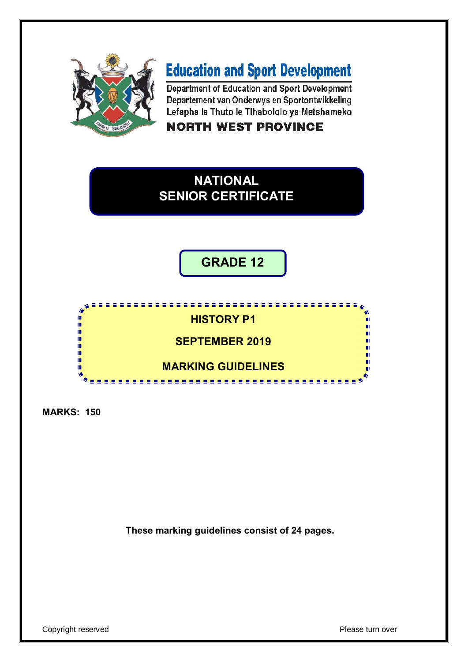

# **Education and Sport Development**

Department of Education and Sport Development Departement van Onderwys en Sportontwikkeling Lefapha la Thuto le Tihabololo ya Metshameko

**NORTH WEST PROVINCE** 

# **NATIONAL SENIOR CERTIFICATE**

**GRADE 12**

<u>,,,,,,,,,,,,,,,,,,,,,,,,,,,</u>

----------

# **HISTORY P1**

**SEPTEMBER 2019**

**MARKING GUIDELINES**

**MARKS: 150**

'n ú. If. ú m IÌ.  $\mathbf{v}$ 

**These marking guidelines consist of 24 pages.**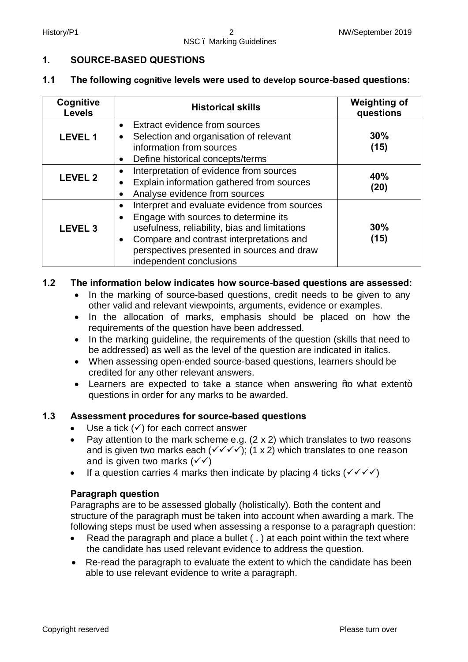#### **1. SOURCE-BASED QUESTIONS**

#### **1.1 The following cognitive levels were used to develop source-based questions:**

| Cognitive<br><b>Levels</b> | <b>Historical skills</b>                                                                                                                                                                                                                                                                          | <b>Weighting of</b><br>questions |
|----------------------------|---------------------------------------------------------------------------------------------------------------------------------------------------------------------------------------------------------------------------------------------------------------------------------------------------|----------------------------------|
| <b>LEVEL 1</b>             | <b>Extract evidence from sources</b><br>$\bullet$<br>Selection and organisation of relevant<br>$\bullet$<br>information from sources<br>Define historical concepts/terms<br>$\bullet$                                                                                                             | 30%<br>(15)                      |
| <b>LEVEL 2</b>             | Interpretation of evidence from sources<br>$\bullet$<br>Explain information gathered from sources<br>$\bullet$<br>Analyse evidence from sources<br>$\bullet$                                                                                                                                      | 40%<br>(20)                      |
| <b>LEVEL 3</b>             | Interpret and evaluate evidence from sources<br>$\bullet$<br>Engage with sources to determine its<br>$\bullet$<br>usefulness, reliability, bias and limitations<br>Compare and contrast interpretations and<br>$\bullet$<br>perspectives presented in sources and draw<br>independent conclusions | 30%<br>(15)                      |

#### **1.2 The information below indicates how source-based questions are assessed:**

- In the marking of source-based questions, credit needs to be given to any other valid and relevant viewpoints, arguments, evidence or examples.
- · In the allocation of marks, emphasis should be placed on how the requirements of the question have been addressed.
- · In the marking guideline, the requirements of the question (skills that need to be addressed) as well as the level of the question are indicated in italics.
- · When assessing open-ended source-based questions, learners should be credited for any other relevant answers.
- Learners are expected to take a stance when answering ‰ what extent+ questions in order for any marks to be awarded.

#### **1.3 Assessment procedures for source-based questions**

- Use a tick  $(\checkmark)$  for each correct answer
- Pay attention to the mark scheme e.g.  $(2 \times 2)$  which translates to two reasons and is given two marks each  $(\checkmark\checkmark\checkmark)(1 \times 2)$  which translates to one reason and is given two marks  $(\checkmark)$
- If a question carries 4 marks then indicate by placing 4 ticks  $(\sqrt{\sqrt{}})$

#### **Paragraph question**

Paragraphs are to be assessed globally (holistically). Both the content and structure of the paragraph must be taken into account when awarding a mark. The following steps must be used when assessing a response to a paragraph question:

- Read the paragraph and place a bullet (, ) at each point within the text where the candidate has used relevant evidence to address the question.
- · Re-read the paragraph to evaluate the extent to which the candidate has been able to use relevant evidence to write a paragraph.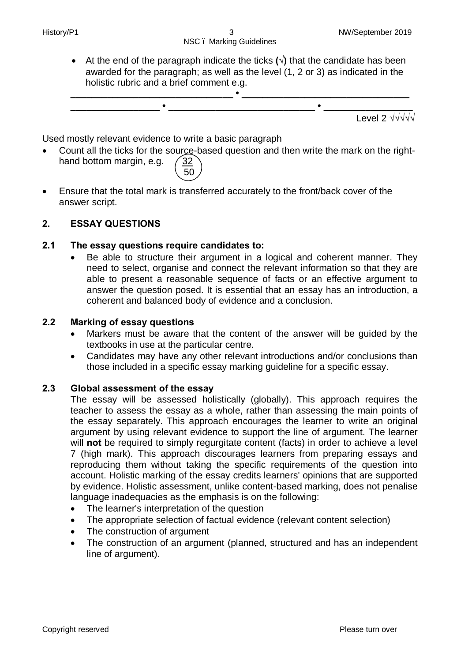· At the end of the paragraph indicate the ticks **(√)** that the candidate has been awarded for the paragraph; as well as the level (1, 2 or 3) as indicated in the holistic rubric and a brief comment e.g.



Used mostly relevant evidence to write a basic paragraph

- Count all the ticks for the source-based question and then write the mark on the righthand bottom margin, e.g.  $\sqrt{32}$  $\sim$  50
- · Ensure that the total mark is transferred accurately to the front/back cover of the answer script.

#### **2. ESSAY QUESTIONS**

#### **2.1 The essay questions require candidates to:**

Be able to structure their argument in a logical and coherent manner. They need to select, organise and connect the relevant information so that they are able to present a reasonable sequence of facts or an effective argument to answer the question posed. It is essential that an essay has an introduction, a coherent and balanced body of evidence and a conclusion.

#### **2.2 Marking of essay questions**

- Markers must be aware that the content of the answer will be guided by the textbooks in use at the particular centre.
- · Candidates may have any other relevant introductions and/or conclusions than those included in a specific essay marking guideline for a specific essay.

#### **2.3 Global assessment of the essay**

The essay will be assessed holistically (globally). This approach requires the teacher to assess the essay as a whole, rather than assessing the main points of the essay separately. This approach encourages the learner to write an original argument by using relevant evidence to support the line of argument. The learner will **not** be required to simply regurgitate content (facts) in order to achieve a level 7 (high mark). This approach discourages learners from preparing essays and reproducing them without taking the specific requirements of the question into account. Holistic marking of the essay credits learners' opinions that are supported by evidence. Holistic assessment, unlike content-based marking, does not penalise language inadequacies as the emphasis is on the following:

- · The learner's interpretation of the question
- · The appropriate selection of factual evidence (relevant content selection)
- The construction of argument
- The construction of an argument (planned, structured and has an independent line of argument).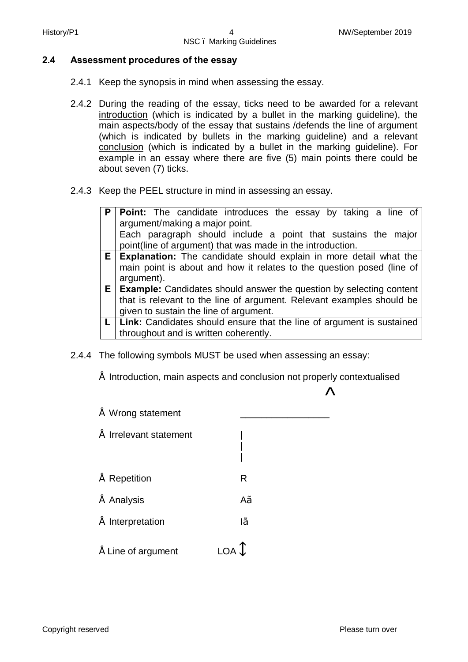#### **2.4 Assessment procedures of the essay**

- 2.4.1 Keep the synopsis in mind when assessing the essay.
- 2.4.2 During the reading of the essay, ticks need to be awarded for a relevant introduction (which is indicated by a bullet in the marking guideline), the main aspects/body of the essay that sustains /defends the line of argument (which is indicated by bullets in the marking guideline) and a relevant conclusion (which is indicated by a bullet in the marking guideline). For example in an essay where there are five (5) main points there could be about seven (7) ticks.
- 2.4.3 Keep the PEEL structure in mind in assessing an essay.

| P | <b>Point:</b> The candidate introduces the essay by taking a line of        |
|---|-----------------------------------------------------------------------------|
|   | argument/making a major point.                                              |
|   | Each paragraph should include a point that sustains the major               |
|   | point(line of argument) that was made in the introduction.                  |
|   | $E$ Explanation: The candidate should explain in more detail what the       |
|   | main point is about and how it relates to the question posed (line of       |
|   | argument).                                                                  |
|   | $E$   Example: Candidates should answer the question by selecting content   |
|   | that is relevant to the line of argument. Relevant examples should be       |
|   | given to sustain the line of argument.                                      |
|   | $L$   Link: Candidates should ensure that the line of argument is sustained |
|   | throughout and is written coherently.                                       |

- 2.4.4 The following symbols MUST be used when assessing an essay:
	- Introduction, main aspects and conclusion not properly contextualised

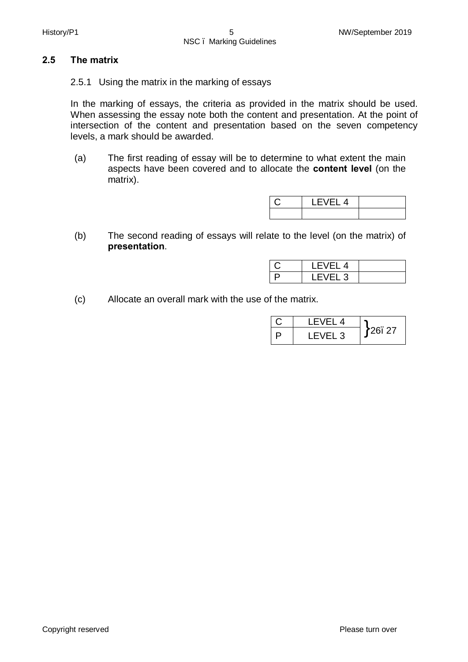#### **2.5 The matrix**

2.5.1 Using the matrix in the marking of essays

In the marking of essays, the criteria as provided in the matrix should be used. When assessing the essay note both the content and presentation. At the point of intersection of the content and presentation based on the seven competency levels, a mark should be awarded.

(a) The first reading of essay will be to determine to what extent the main aspects have been covered and to allocate the **content level** (on the matrix).

| LEVEL 4 |  |
|---------|--|
|         |  |

(b) The second reading of essays will relate to the level (on the matrix) of **presentation**.

| -<br>4 |  |
|--------|--|
| ◡      |  |

(c) Allocate an overall mark with the use of the matrix.

| LEVEL 4            |         |
|--------------------|---------|
| LEVEL <sub>3</sub> | 126. 27 |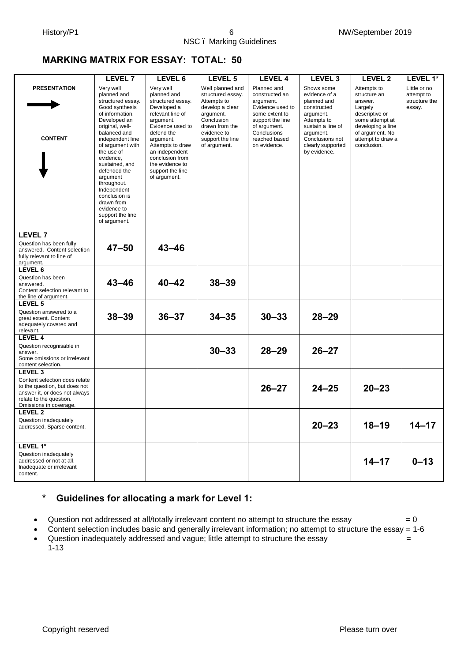#### **MARKING MATRIX FOR ESSAY: TOTAL: 50**

|                                                                                                                     | LEVEL 7                                                                                                                                                                                                                                                                                                                                                                | LEVEL 6                                                                                                                                                                                                                                                      | LEVEL 5                                                                                                                                                                 | <b>LEVEL 4</b>                                                                                                                                                       | LEVEL <sub>3</sub>                                                                                                                                                              | <b>LEVEL 2</b>                                                                                                                                                     | LEVEL 1*                                              |
|---------------------------------------------------------------------------------------------------------------------|------------------------------------------------------------------------------------------------------------------------------------------------------------------------------------------------------------------------------------------------------------------------------------------------------------------------------------------------------------------------|--------------------------------------------------------------------------------------------------------------------------------------------------------------------------------------------------------------------------------------------------------------|-------------------------------------------------------------------------------------------------------------------------------------------------------------------------|----------------------------------------------------------------------------------------------------------------------------------------------------------------------|---------------------------------------------------------------------------------------------------------------------------------------------------------------------------------|--------------------------------------------------------------------------------------------------------------------------------------------------------------------|-------------------------------------------------------|
| <b>PRESENTATION</b><br><b>CONTENT</b>                                                                               | Very well<br>planned and<br>structured essay.<br>Good synthesis<br>of information.<br>Developed an<br>original, well-<br>balanced and<br>independent line<br>of argument with<br>the use of<br>evidence,<br>sustained, and<br>defended the<br>argument<br>throughout.<br>Independent<br>conclusion is<br>drawn from<br>evidence to<br>support the line<br>of argument. | Very well<br>planned and<br>structured essay.<br>Developed a<br>relevant line of<br>argument.<br>Evidence used to<br>defend the<br>argument.<br>Attempts to draw<br>an independent<br>conclusion from<br>the evidence to<br>support the line<br>of argument. | Well planned and<br>structured essay.<br>Attempts to<br>develop a clear<br>argument.<br>Conclusion<br>drawn from the<br>evidence to<br>support the line<br>of argument. | Planned and<br>constructed an<br>argument.<br>Evidence used to<br>some extent to<br>support the line<br>of argument.<br>Conclusions<br>reached based<br>on evidence. | Shows some<br>evidence of a<br>planned and<br>constructed<br>argument.<br>Attempts to<br>sustain a line of<br>argument.<br>Conclusions not<br>clearly supported<br>by evidence. | Attempts to<br>structure an<br>answer.<br>Largely<br>descriptive or<br>some attempt at<br>developing a line<br>of argument. No<br>attempt to draw a<br>conclusion. | Little or no<br>attempt to<br>structure the<br>essay. |
| <b>LEVEL 7</b>                                                                                                      |                                                                                                                                                                                                                                                                                                                                                                        |                                                                                                                                                                                                                                                              |                                                                                                                                                                         |                                                                                                                                                                      |                                                                                                                                                                                 |                                                                                                                                                                    |                                                       |
| Question has been fully<br>answered. Content selection<br>fully relevant to line of<br>argument.                    | $47 - 50$                                                                                                                                                                                                                                                                                                                                                              | $43 - 46$                                                                                                                                                                                                                                                    |                                                                                                                                                                         |                                                                                                                                                                      |                                                                                                                                                                                 |                                                                                                                                                                    |                                                       |
| LEVEL 6                                                                                                             |                                                                                                                                                                                                                                                                                                                                                                        |                                                                                                                                                                                                                                                              |                                                                                                                                                                         |                                                                                                                                                                      |                                                                                                                                                                                 |                                                                                                                                                                    |                                                       |
| Question has been<br>answered.<br>Content selection relevant to<br>the line of argument.                            | $43 - 46$                                                                                                                                                                                                                                                                                                                                                              | $40 - 42$                                                                                                                                                                                                                                                    | $38 - 39$                                                                                                                                                               |                                                                                                                                                                      |                                                                                                                                                                                 |                                                                                                                                                                    |                                                       |
| LEVEL <sub>5</sub>                                                                                                  |                                                                                                                                                                                                                                                                                                                                                                        |                                                                                                                                                                                                                                                              |                                                                                                                                                                         |                                                                                                                                                                      |                                                                                                                                                                                 |                                                                                                                                                                    |                                                       |
| Question answered to a<br>great extent. Content<br>adequately covered and<br>relevant.                              | $38 - 39$                                                                                                                                                                                                                                                                                                                                                              | $36 - 37$                                                                                                                                                                                                                                                    | $34 - 35$                                                                                                                                                               | $30 - 33$                                                                                                                                                            | $28 - 29$                                                                                                                                                                       |                                                                                                                                                                    |                                                       |
| LEVEL 4                                                                                                             |                                                                                                                                                                                                                                                                                                                                                                        |                                                                                                                                                                                                                                                              |                                                                                                                                                                         |                                                                                                                                                                      |                                                                                                                                                                                 |                                                                                                                                                                    |                                                       |
| Question recognisable in<br>answer.<br>Some omissions or irrelevant<br>content selection.                           |                                                                                                                                                                                                                                                                                                                                                                        |                                                                                                                                                                                                                                                              | $30 - 33$                                                                                                                                                               | $28 - 29$                                                                                                                                                            | $26 - 27$                                                                                                                                                                       |                                                                                                                                                                    |                                                       |
| LEVEL <sub>3</sub><br>Content selection does relate                                                                 |                                                                                                                                                                                                                                                                                                                                                                        |                                                                                                                                                                                                                                                              |                                                                                                                                                                         |                                                                                                                                                                      |                                                                                                                                                                                 |                                                                                                                                                                    |                                                       |
| to the question, but does not<br>answer it, or does not always<br>relate to the question.<br>Omissions in coverage. |                                                                                                                                                                                                                                                                                                                                                                        |                                                                                                                                                                                                                                                              |                                                                                                                                                                         | $26 - 27$                                                                                                                                                            | $24 - 25$                                                                                                                                                                       | $20 - 23$                                                                                                                                                          |                                                       |
| LEVEL 2                                                                                                             |                                                                                                                                                                                                                                                                                                                                                                        |                                                                                                                                                                                                                                                              |                                                                                                                                                                         |                                                                                                                                                                      |                                                                                                                                                                                 |                                                                                                                                                                    |                                                       |
| Question inadequately<br>addressed. Sparse content.                                                                 |                                                                                                                                                                                                                                                                                                                                                                        |                                                                                                                                                                                                                                                              |                                                                                                                                                                         |                                                                                                                                                                      | $20 - 23$                                                                                                                                                                       | $18 - 19$                                                                                                                                                          | $14 - 17$                                             |
| LEVEL 1*                                                                                                            |                                                                                                                                                                                                                                                                                                                                                                        |                                                                                                                                                                                                                                                              |                                                                                                                                                                         |                                                                                                                                                                      |                                                                                                                                                                                 |                                                                                                                                                                    |                                                       |
| Question inadequately<br>addressed or not at all.<br>Inadequate or irrelevant<br>content.                           |                                                                                                                                                                                                                                                                                                                                                                        |                                                                                                                                                                                                                                                              |                                                                                                                                                                         |                                                                                                                                                                      |                                                                                                                                                                                 | $14 - 17$                                                                                                                                                          | $0 - 13$                                              |

#### **\* Guidelines for allocating a mark for Level 1:**

- Question not addressed at all/totally irrelevant content no attempt to structure the essay  $= 0$
- · Content selection includes basic and generally irrelevant information; no attempt to structure the essay = 1-6
- Question inadequately addressed and vague; little attempt to structure the essay  $=$ 1-13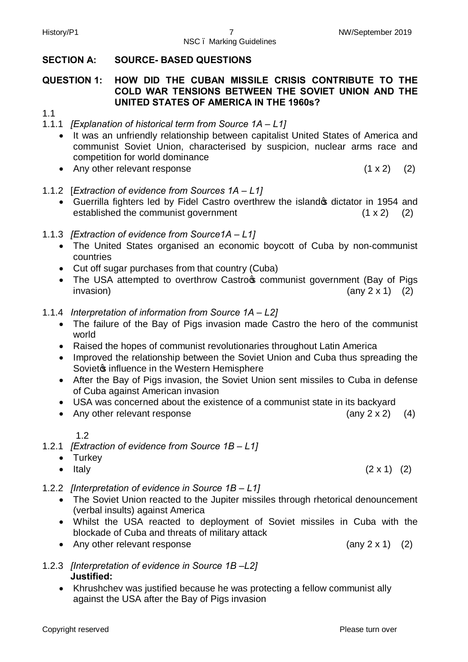#### **SECTION A: SOURCE- BASED QUESTIONS**

#### **QUESTION 1: HOW DID THE CUBAN MISSILE CRISIS CONTRIBUTE TO THE COLD WAR TENSIONS BETWEEN THE SOVIET UNION AND THE UNITED STATES OF AMERICA IN THE 1960s?**

1.1

- 1.1.1 *[Explanation of historical term from Source 1A – L1]*
	- · It was an unfriendly relationship between capitalist United States of America and communist Soviet Union, characterised by suspicion, nuclear arms race and competition for world dominance
	- Any other relevant response (1 x 2) (2)
- 1.1.2 [*Extraction of evidence from Sources 1A – L1]*
	- Guerrilla fighters led by Fidel Castro overthrew the islandos dictator in 1954 and established the communist government  $(1 \times 2)$  (2)
- 1.1.3 *[Extraction of evidence from Source1A – L1]*
	- · The United States organised an economic boycott of Cuba by non-communist countries
	- · Cut off sugar purchases from that country (Cuba)
	- The USA attempted to overthrow Castro<sub>f</sub> communist government (Bay of Pigs  $invasion)$  (any 2 x 1) (2)
- 1.1.4 *Interpretation of information from Source 1A – L2]*
	- · The failure of the Bay of Pigs invasion made Castro the hero of the communist world
	- Raised the hopes of communist revolutionaries throughout Latin America
	- · Improved the relationship between the Soviet Union and Cuba thus spreading the Soviet<sub>®</sub> influence in the Western Hemisphere
	- · After the Bay of Pigs invasion, the Soviet Union sent missiles to Cuba in defense of Cuba against American invasion
	- · USA was concerned about the existence of a communist state in its backyard
	- Any other relevant response (any 2 x 2) (4)

1.2

- 1.2.1 *[Extraction of evidence from Source 1B – L1]*
	- · Turkey
	- Italy  $(2 \times 1)$   $(2)$
- 1.2.2 *[Interpretation of evidence in Source 1B – L1]*
	- · The Soviet Union reacted to the Jupiter missiles through rhetorical denouncement (verbal insults) against America
	- · Whilst the USA reacted to deployment of Soviet missiles in Cuba with the blockade of Cuba and threats of military attack
	- Any other relevant response (any 2 x 1) (2)
- 1.2.3 *[Interpretation of evidence in Source 1B –L2]*  **Justified:**
	- · Khrushchev was justified because he was protecting a fellow communist ally against the USA after the Bay of Pigs invasion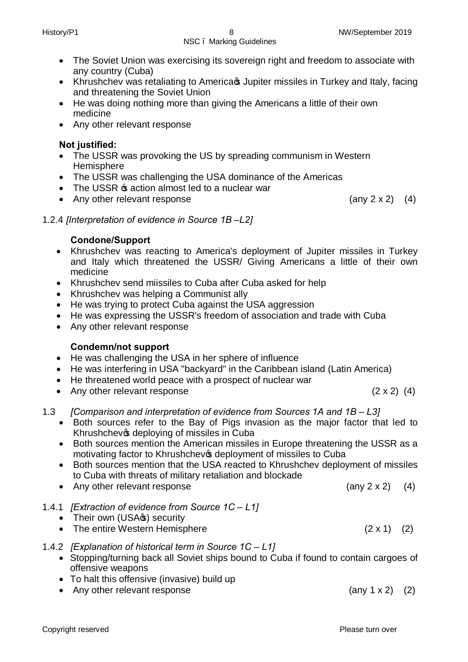- · The Soviet Union was exercising its sovereign right and freedom to associate with any country (Cuba)
- Khrushchev was retaliating to America wa Jupiter missiles in Turkey and Italy, facing and threatening the Soviet Union
- · He was doing nothing more than giving the Americans a little of their own medicine
- · Any other relevant response

#### **Not justified:**

- The USSR was provoking the US by spreading communism in Western Hemisphere
- The USSR was challenging the USA dominance of the Americas
- The USSR  $\pm$  action almost led to a nuclear war
- Any other relevant response (any 2 x 2) (4)

1.2.4 *[Interpretation of evidence in Source 1B –L2]* 

#### **Condone/Support**

- · Khrushchev was reacting to America's deployment of Jupiter missiles in Turkey and Italy which threatened the USSR/ Giving Americans a little of their own medicine
- · Khrushchev send miissiles to Cuba after Cuba asked for help
- · Khrushchev was helping a Communist ally
- He was trying to protect Cuba against the USA aggression
- · He was expressing the USSR's freedom of association and trade with Cuba
- Any other relevant response

#### **Condemn/not support**

- · He was challenging the USA in her sphere of influence
- · He was interfering in USA "backyard" in the Caribbean island (Latin America)
- · He threatened world peace with a prospect of nuclear war
- Any other relevant response (2 x 2) (4)

1.3 *[Comparison and interpretation of evidence from Sources 1A and 1B - L3]* 

- · Both sources refer to the Bay of Pigs invasion as the major factor that led to Khrushchevos deploying of missiles in Cuba
- · Both sources mention the American missiles in Europe threatening the USSR as a motivating factor to Khrushchevos deployment of missiles to Cuba
- · Both sources mention that the USA reacted to Khrushchev deployment of missiles to Cuba with threats of military retaliation and blockade
- Any other relevant response (any 2 x 2) (4)
- 1.4.1 *[Extraction of evidence from Source 1C – L1]*
	- Their own (USA<sub>C</sub>s) security
	- The entire Western Hemisphere (2 x 1) (2)

#### 1.4.2 *[Explanation of historical term in Source 1C – L1]*

- · Stopping/turning back all Soviet ships bound to Cuba if found to contain cargoes of offensive weapons
- · To halt this offensive (invasive) build up
- Any other relevant response (any 1 x 2) (2)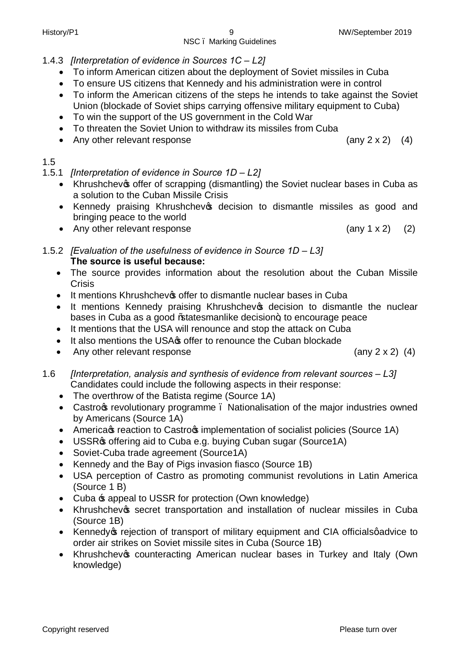## 1.4.3 *[Interpretation of evidence in Sources 1C – L2]*

- · To inform American citizen about the deployment of Soviet missiles in Cuba
- · To ensure US citizens that Kennedy and his administration were in control
- · To inform the American citizens of the steps he intends to take against the Soviet Union (blockade of Soviet ships carrying offensive military equipment to Cuba)
- · To win the support of the US government in the Cold War
- · To threaten the Soviet Union to withdraw its missiles from Cuba
- Any other relevant response (any 2 x 2) (4)

#### 1.5

- 1.5.1 *[Interpretation of evidence in Source 1D – L2]*
	- Khrushchevos offer of scrapping (dismantling) the Soviet nuclear bases in Cuba as a solution to the Cuban Missile Crisis
	- Kennedy praising Khrushchevos decision to dismantle missiles as good and bringing peace to the world
	- Any other relevant response (any 1 x 2) (2)
- 1.5.2 *[Evaluation of the usefulness of evidence in Source 1D L3]* **The source is useful because:**
	- · The source provides information about the resolution about the Cuban Missile **Crisis**
	- It mentions Khrushchev offer to dismantle nuclear bases in Cuba
	- It mentions Kennedy praising Khrushchev<sup>s</sup> decision to dismantle the nuclear bases in Cuba as a good % tatesmanlike decision+, to encourage peace
	- · It mentions that the USA will renounce and stop the attack on Cuba
	- It also mentions the USA offer to renounce the Cuban blockade
	- · Any other relevant response(any 2 x 2) (4)

1.6 *[Interpretation, analysis and synthesis of evidence from relevant sources – L3]* Candidates could include the following aspects in their response:

- The overthrow of the Batista regime (Source 1A)
- Castrog revolutionary programme . Nationalisation of the major industries owned by Americans (Source 1A)
- America & reaction to Castro  $\boldsymbol{\mathfrak{s}}$  implementation of socialist policies (Source 1A)
- USSR $\sigma$  offering aid to Cuba e.g. buying Cuban sugar (Source1A)
- · Soviet-Cuba trade agreement (Source1A)
- · Kennedy and the Bay of Pigs invasion fiasco (Source 1B)
- · USA perception of Castro as promoting communist revolutions in Latin America (Source 1 B)
- Cuba  $\pm$  appeal to USSR for protection (Own knowledge)
- Khrushchevos secret transportation and installation of nuclear missiles in Cuba (Source 1B)
- Kennedy trejection of transport of military equipment and CIA official squadvice to order air strikes on Soviet missile sites in Cuba (Source 1B)
- Khrushchevos counteracting American nuclear bases in Turkey and Italy (Own knowledge)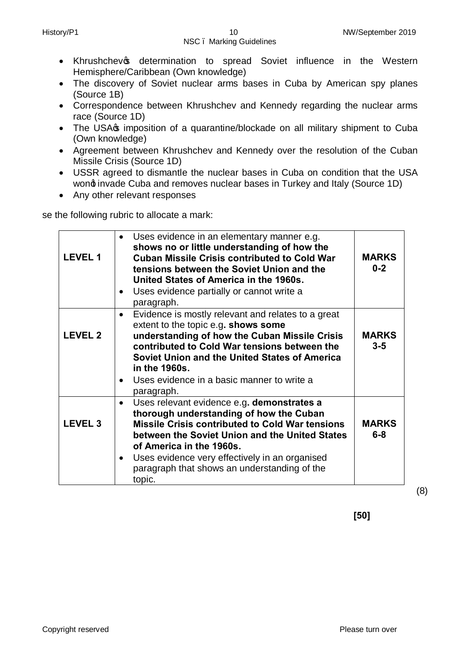- Khrushchev og determination to spread Soviet influence in the Western Hemisphere/Caribbean (Own knowledge)
- · The discovery of Soviet nuclear arms bases in Cuba by American spy planes (Source 1B)
- · Correspondence between Khrushchev and Kennedy regarding the nuclear arms race (Source 1D)
- The USA $\sigma$  imposition of a quarantine/blockade on all military shipment to Cuba (Own knowledge)
- · Agreement between Khrushchev and Kennedy over the resolution of the Cuban Missile Crisis (Source 1D)
- · USSR agreed to dismantle the nuclear bases in Cuba on condition that the USA wond invade Cuba and removes nuclear bases in Turkey and Italy (Source 1D)
- · Any other relevant responses

se the following rubric to allocate a mark:

| <b>LEVEL 1</b> | Uses evidence in an elementary manner e.g.<br>$\bullet$<br>shows no or little understanding of how the<br><b>Cuban Missile Crisis contributed to Cold War</b><br>tensions between the Soviet Union and the<br>United States of America in the 1960s.<br>Uses evidence partially or cannot write a<br>$\bullet$<br>paragraph.                                        | <b>MARKS</b><br>$0 - 2$ |
|----------------|---------------------------------------------------------------------------------------------------------------------------------------------------------------------------------------------------------------------------------------------------------------------------------------------------------------------------------------------------------------------|-------------------------|
| <b>LEVEL 2</b> | Evidence is mostly relevant and relates to a great<br>$\bullet$<br>extent to the topic e.g. shows some<br>understanding of how the Cuban Missile Crisis<br>contributed to Cold War tensions between the<br>Soviet Union and the United States of America<br>in the 1960s.<br>Uses evidence in a basic manner to write a<br>$\bullet$<br>paragraph.                  | <b>MARKS</b><br>$3 - 5$ |
| <b>LEVEL 3</b> | Uses relevant evidence e.g. demonstrates a<br>$\bullet$<br>thorough understanding of how the Cuban<br><b>Missile Crisis contributed to Cold War tensions</b><br>between the Soviet Union and the United States<br>of America in the 1960s.<br>Uses evidence very effectively in an organised<br>$\bullet$<br>paragraph that shows an understanding of the<br>topic. | <b>MARKS</b><br>$6 - 8$ |

(8)

**[50]**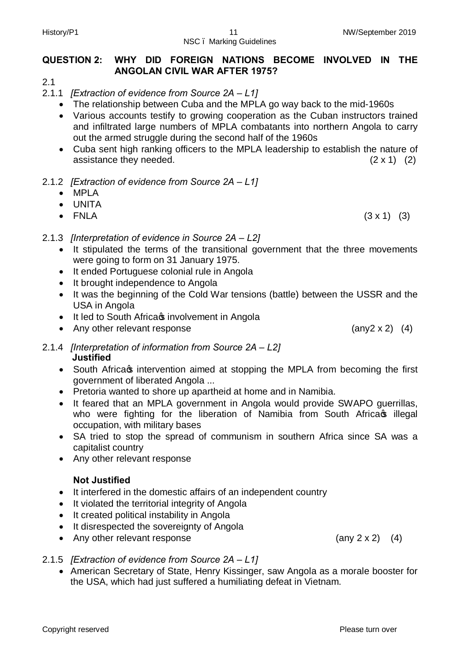#### **QUESTION 2: WHY DID FOREIGN NATIONS BECOME INVOLVED IN THE ANGOLAN CIVIL WAR AFTER 1975?**

2.1

- 2.1.1 *[Extraction of evidence from Source 2A – L1]*
	- · The relationship between Cuba and the MPLA go way back to the mid-1960s
	- · Various accounts testify to growing cooperation as the Cuban instructors trained and infiltrated large numbers of MPLA combatants into northern Angola to carry out the armed struggle during the second half of the 1960s
	- · Cuba sent high ranking officers to the MPLA leadership to establish the nature of assistance they needed.  $(2 \times 1)$  (2)
- 2.1.2 *[Extraction of evidence from Source 2A – L1]*
	- · MPLA
	- · UNITA
	- $F NLA$  (3 x 1) (3)
- 2.1.3 *[Interpretation of evidence in Source 2A – L2]*
	- · It stipulated the terms of the transitional government that the three movements were going to form on 31 January 1975.
	- · It ended Portuguese colonial rule in Angola
	- It brought independence to Angola
	- · It was the beginning of the Cold War tensions (battle) between the USSR and the USA in Angola
	- It led to South Africas involvement in Angola
	- Any other relevant response (any2 x 2) (4)
- 2.1.4 *[Interpretation of information from Source 2A – L2]*  **Justified**
	- South Africass intervention aimed at stopping the MPLA from becoming the first government of liberated Angola ...
	- · Pretoria wanted to shore up apartheid at home and in Namibia.
	- · It feared that an MPLA government in Angola would provide SWAPO guerrillas, who were fighting for the liberation of Namibia from South Africa s illegal occupation, with military bases
	- SA tried to stop the spread of communism in southern Africa since SA was a capitalist country
	- · Any other relevant response

#### **Not Justified**

- · It interfered in the domestic affairs of an independent country
- · It violated the territorial integrity of Angola
- · It created political instability in Angola
- It disrespected the sovereignty of Angola
- Any other relevant response (any 2 x 2) (4)
- 2.1.5 *[Extraction of evidence from Source 2A – L1]*
	- · American Secretary of State, Henry Kissinger, saw Angola as a morale booster for the USA, which had just suffered a humiliating defeat in Vietnam.

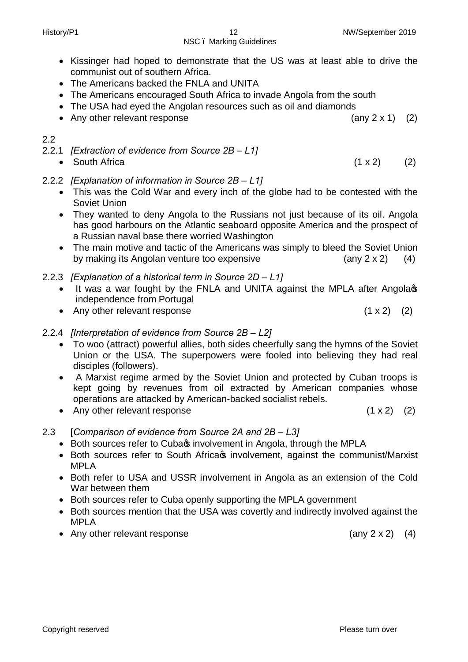# NSC – Marking Guidelines

- · Kissinger had hoped to demonstrate that the US was at least able to drive the communist out of southern Africa.
- · The Americans backed the FNLA and UNITA
- · The Americans encouraged South Africa to invade Angola from the south
- The USA had eyed the Angolan resources such as oil and diamonds
- Any other relevant response (any 2 x 1) (2)

#### 2.2

- 2.2.1 *[Extraction of evidence from Source 2B – L1]*
	-
- 2.2.2 *[Explanation of information in Source 2B – L1]*
	- · This was the Cold War and every inch of the globe had to be contested with the Soviet Union
	- · They wanted to deny Angola to the Russians not just because of its oil. Angola has good harbours on the Atlantic seaboard opposite America and the prospect of a Russian naval base there worried Washington
	- · The main motive and tactic of the Americans was simply to bleed the Soviet Union by making its Angolan venture too expensive  $\qquad \qquad$  (any 2 x 2) (4)
- 2.2.3 *[Explanation of a historical term in Source 2D L1]* 
	- It was a war fought by the FNLA and UNITA against the MPLA after Angola<sup>t</sup>s independence from Portugal
	- Any other relevant response  $(1 \times 2)$   $(2)$
- 2.2.4 *[Interpretation of evidence from Source 2B – L2]*
	- · To woo (attract) powerful allies, both sides cheerfully sang the hymns of the Soviet Union or the USA. The superpowers were fooled into believing they had real disciples (followers).
	- · A Marxist regime armed by the Soviet Union and protected by Cuban troops is kept going by revenues from oil extracted by American companies whose operations are attacked by American-backed socialist rebels.
	- Any other relevant response (1 x 2) (2)
- 2.3 [*Comparison of evidence from Source 2A and 2B – L3]*
	- Both sources refer to Cubas involvement in Angola, through the MPLA
	- Both sources refer to South Africa involvement, against the communist/Marxist MPLA
	- · Both refer to USA and USSR involvement in Angola as an extension of the Cold War between them
	- Both sources refer to Cuba openly supporting the MPLA government
	- · Both sources mention that the USA was covertly and indirectly involved against the MPLA
	- Any other relevant response (any 2 x 2) (4)

• South Africa  $(1 \times 2)$  (2)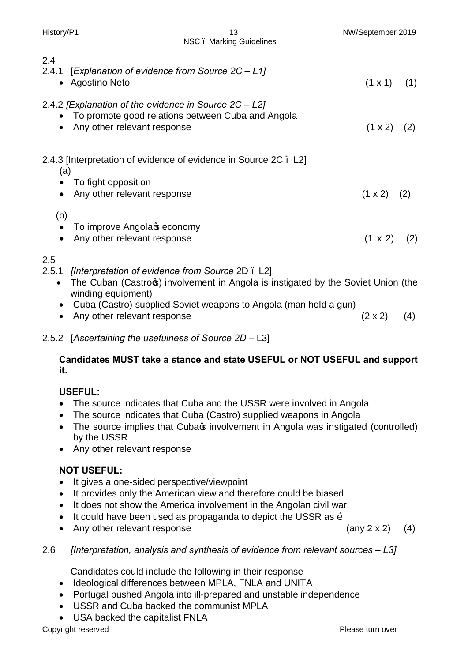|                               | NSC. Marking Guidelines                                                                                                                                                                                                             |                      |     |
|-------------------------------|-------------------------------------------------------------------------------------------------------------------------------------------------------------------------------------------------------------------------------------|----------------------|-----|
| 2.4<br>2.4.1<br>$\bullet$     | [Explanation of evidence from Source 2C - L1]<br>Agostino Neto                                                                                                                                                                      | $(1 \times 1)$ $(1)$ |     |
| $\bullet$                     | 2.4.2 [Explanation of the evidence in Source $2C - L2$ ]<br>To promote good relations between Cuba and Angola<br>Any other relevant response                                                                                        | $(1 \times 2)$       | (2) |
| (a)<br>$\bullet$              | 2.4.3 [Interpretation of evidence of evidence in Source 2C. L2]<br>To fight opposition<br>Any other relevant response                                                                                                               | $(1 \times 2)$ (2)   |     |
| (b)<br>$\bullet$<br>$\bullet$ | To improve Angolac economy<br>Any other relevant response                                                                                                                                                                           | $(1 \times 2)$ (2)   |     |
| 2.5<br>$\bullet$<br>$\bullet$ | 2.5.1 [Interpretation of evidence from Source 2D. L2]<br>The Cuban (Castros) involvement in Angola is instigated by the Soviet Union (the<br>winding equipment)<br>Cuba (Castro) supplied Soviet weapons to Angola (man hold a gun) |                      |     |

History/P1 13 NW/September 2019

• Any other relevant response (2 x 2) (4)

#### 2.5.2 [*Ascertaining the usefulness of Source 2D –* L3]

### **Candidates MUST take a stance and state USEFUL or NOT USEFUL and support it.**

## **USEFUL:**

- · The source indicates that Cuba and the USSR were involved in Angola
- The source indicates that Cuba (Castro) supplied weapons in Angola
- The source implies that Cubas involvement in Angola was instigated (controlled) by the USSR
- · Any other relevant response

# **NOT USEFUL:**

- · It gives a one-sided perspective/viewpoint
- · It provides only the American view and therefore could be biased
- · It does not show the America involvement in the Angolan civil war
- It could have been used as propaganda to depict the USSR as  $\tilde{o}$
- Any other relevant response (any 2 x 2) (4)

2.6 *[Interpretation, analysis and synthesis of evidence from relevant sources – L3]* 

Candidates could include the following in their response

- · Ideological differences between MPLA, FNLA and UNITA
- · Portugal pushed Angola into ill-prepared and unstable independence
- · USSR and Cuba backed the communist MPLA
- · USA backed the capitalist FNLA

Copyright reserved **Please turn over the Copyright reserved** Please turn over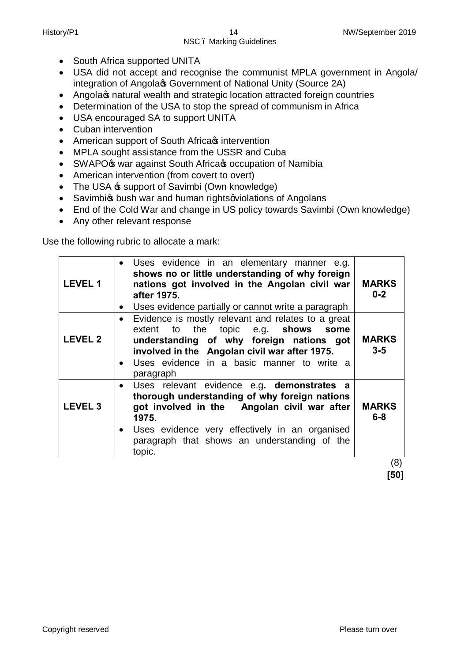- South Africa supported UNITA
- · USA did not accept and recognise the communist MPLA government in Angola/ integration of Angola $\infty$  Government of National Unity (Source 2A)
- Angola<sub>C</sub> natural wealth and strategic location attracted foreign countries
- · Determination of the USA to stop the spread of communism in Africa
- · USA encouraged SA to support UNITA
- · Cuban intervention
- American support of South Africa intervention
- · MPLA sought assistance from the USSR and Cuba
- SWAPO $\circ$  war against South Africa  $\circ$  occupation of Namibia
- · American intervention (from covert to overt)
- The USA  $\pm$  support of Savimbi (Own knowledge)
- Savimbigs bush war and human rights quidations of Angolans
- End of the Cold War and change in US policy towards Savimbi (Own knowledge)
- · Any other relevant response

Use the following rubric to allocate a mark:

| <b>LEVEL 1</b> | Uses evidence in an elementary manner e.g.<br>shows no or little understanding of why foreign<br>nations got involved in the Angolan civil war<br>after 1975.<br>Uses evidence partially or cannot write a paragraph<br>$\bullet$                                           | <b>MARKS</b><br>$0 - 2$ |
|----------------|-----------------------------------------------------------------------------------------------------------------------------------------------------------------------------------------------------------------------------------------------------------------------------|-------------------------|
| <b>LEVEL 2</b> | Evidence is mostly relevant and relates to a great<br>$\bullet$<br>extent to the topic e.g. shows some<br>understanding of why foreign nations got<br>involved in the Angolan civil war after 1975.<br>Uses evidence in a basic manner to write a<br>$\bullet$<br>paragraph | <b>MARKS</b><br>$3 - 5$ |
| <b>LEVEL 3</b> | • Uses relevant evidence e.g. demonstrates a<br>thorough understanding of why foreign nations<br>got involved in the Angolan civil war after<br>1975.<br>• Uses evidence very effectively in an organised<br>paragraph that shows an understanding of the<br>topic.         | <b>MARKS</b><br>$6 - 8$ |

 (8)  **[50]**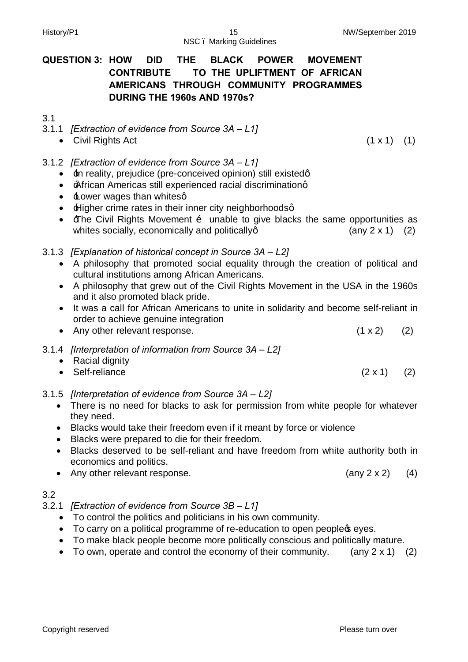NSC – Marking Guidelines

## **QUESTION 3: HOW DID THE BLACK POWER MOVEMENT CONTRIBUTE TO THE UPLIFTMENT OF AFRICAN AMERICANS THROUGH COMMUNITY PROGRAMMES DURING THE 1960s AND 1970s?**

#### 3.1

- 3.1.1 *[Extraction of evidence from Source 3A – L1]*
	- Civil Rights Act (1 x 1) (1)
- 3.1.2 *[Extraction of evidence from Source 3A – L1]*
	- $\pm$ n reality, prejudice (pre-conceived opinion) still existedg
	- **African Americas still experienced racial discriminationg**
	- $\cdot$   $\pm$  ower wages than whitesg
	- **Higher crime rates in their inner city neighborhoodsg**
	- $\overline{f}$  The Civil Rights Movement  $\overline{0}$  unable to give blacks the same opportunities as whites socially, economically and politically  $(2)$  (any 2 x 1) (2)
- 3.1.3 *[Explanation of historical concept in Source 3A – L2]*
	- · A philosophy that promoted social equality through the creation of political and cultural institutions among African Americans.
	- · A philosophy that grew out of the Civil Rights Movement in the USA in the 1960s and it also promoted black pride.
	- · It was a call for African Americans to unite in solidarity and become self-reliant in order to achieve genuine integration
	- Any other relevant response.  $(1 \times 2)$  (2)
- 3.1.4 *[Interpretation of information from Source 3A – L2]*
	- Racial dignity
	- Self-reliance  $(2 \times 1)$   $(2)$
- 3.1.5 *[Interpretation of evidence from Source 3A – L2]*
	- · There is no need for blacks to ask for permission from white people for whatever they need.
	- · Blacks would take their freedom even if it meant by force or violence
	- · Blacks were prepared to die for their freedom.
	- · Blacks deserved to be self-reliant and have freedom from white authority both in economics and politics.
	- Any other relevant response. (any 2 x 2) (4)

#### 3.2

- 3.2.1 *[Extraction of evidence from Source 3B – L1]*
	- · To control the politics and politicians in his own community.
	- To carry on a political programme of re-education to open people wes.
	- · To make black people become more politically conscious and politically mature.
	- To own, operate and control the economy of their community. (any  $2 \times 1$ ) (2)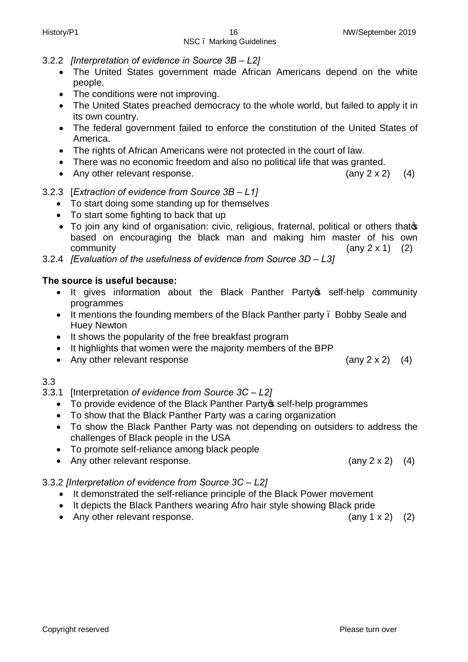- 3.2.2 *[Interpretation of evidence in Source 3B – L2]*
	- · The United States government made African Americans depend on the white people.
	- · The conditions were not improving.
	- · The United States preached democracy to the whole world, but failed to apply it in its own country.
	- · The federal government failed to enforce the constitution of the United States of America.
	- · The rights of African Americans were not protected in the court of law.
	- · There was no economic freedom and also no political life that was granted.
	- Any other relevant response. (any 2 x 2) (4)

#### 3.2.3 [*Extraction of evidence from Source 3B – L1]*

- · To start doing some standing up for themselves
- · To start some fighting to back that up
- To join any kind of organisation: civic, religious, fraternal, political or others thatos based on encouraging the black man and making him master of his own  $\mathsf{community}$  (any 2 x 1) (2)
- 3.2.4 *[Evaluation of the usefulness of evidence from Source 3D L3]*

#### **The source is useful because:**

- It gives information about the Black Panther Party of self-help community programmes
- It mentions the founding members of the Black Panther party . Bobby Seale and Huey Newton
- · It shows the popularity of the free breakfast program
- · It highlights that women were the majority members of the BPP
- Any other relevant response (any 2 x 2) (4)

#### 3.3

- 3.3.1 [Interpretation *of evidence from Source 3C – L2]*
	- To provide evidence of the Black Panther Party is self-help programmes
	- · To show that the Black Panther Party was a caring organization
	- · To show the Black Panther Party was not depending on outsiders to address the challenges of Black people in the USA
	- · To promote self-reliance among black people
	- Any other relevant response. (any 2 x 2) (4)

#### 3.3.2 *[Interpretation of evidence from Source 3C – L2]*

- · It demonstrated the self-reliance principle of the Black Power movement
- · It depicts the Black Panthers wearing Afro hair style showing Black pride
- Any other relevant response. (any 1 x 2) (2)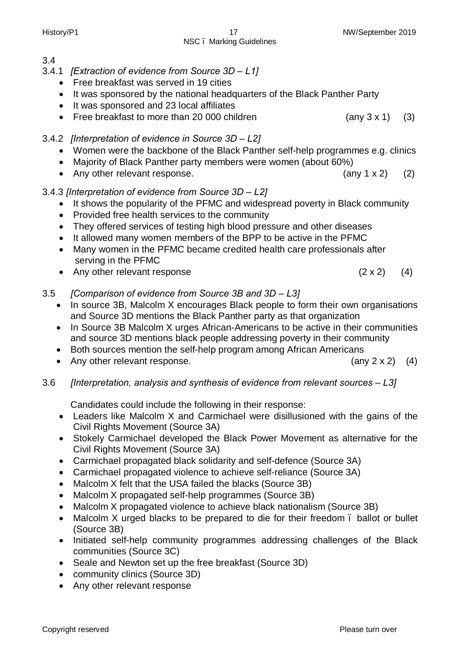Copyright reserved **Please turn over the Copyright reserved** Please turn over

#### 3.4

- 3.4.1 *[Extraction of evidence from Source 3D – L1]*
	- Free breakfast was served in 19 cities
	- · It was sponsored by the national headquarters of the Black Panther Party

NSC – Marking Guidelines

- · It was sponsored and 23 local affiliates
- Free breakfast to more than 20 000 children (any 3 x 1) (3)
- 3.4.2 *[Interpretation of evidence in Source 3D – L2]*
	- · Women were the backbone of the Black Panther self-help programmes e.g. clinics
	- · Majority of Black Panther party members were women (about 60%)
	- Any other relevant response. (any 1 x 2) (2)
- 3.4.3 *[Interpretation of evidence from Source 3D – L2]*
	- · It shows the popularity of the PFMC and widespread poverty in Black community
	- · Provided free health services to the community
	- They offered services of testing high blood pressure and other diseases
	- · It allowed many women members of the BPP to be active in the PFMC
	- · Many women in the PFMC became credited health care professionals after serving in the PFMC
	- Any other relevant response (2 x 2) (4)

#### 3.5 *[Comparison of evidence from Source 3B and 3D – L3]*

- In source 3B, Malcolm X encourages Black people to form their own organisations and Source 3D mentions the Black Panther party as that organization
- · In Source 3B Malcolm X urges African-Americans to be active in their communities and source 3D mentions black people addressing poverty in their community
- · Both sources mention the self-help program among African Americans
- Any other relevant response. (any 2 x 2) (4)

#### 3.6 *[Interpretation, analysis and synthesis of evidence from relevant sources – L3]*

Candidates could include the following in their response:

- · Leaders like Malcolm X and Carmichael were disillusioned with the gains of the Civil Rights Movement (Source 3A)
- · Stokely Carmichael developed the Black Power Movement as alternative for the Civil Rights Movement (Source 3A)
- · Carmichael propagated black solidarity and self-defence (Source 3A)
- · Carmichael propagated violence to achieve self-reliance (Source 3A)
- Malcolm X felt that the USA failed the blacks (Source 3B)
- Malcolm X propagated self-help programmes (Source 3B)
- Malcolm X propagated violence to achieve black nationalism (Source 3B)
- Malcolm X urged blacks to be prepared to die for their freedom . ballot or bullet (Source 3B)
- · Initiated self-help community programmes addressing challenges of the Black communities (Source 3C)
- · Seale and Newton set up the free breakfast (Source 3D)
- community clinics (Source 3D)
- · Any other relevant response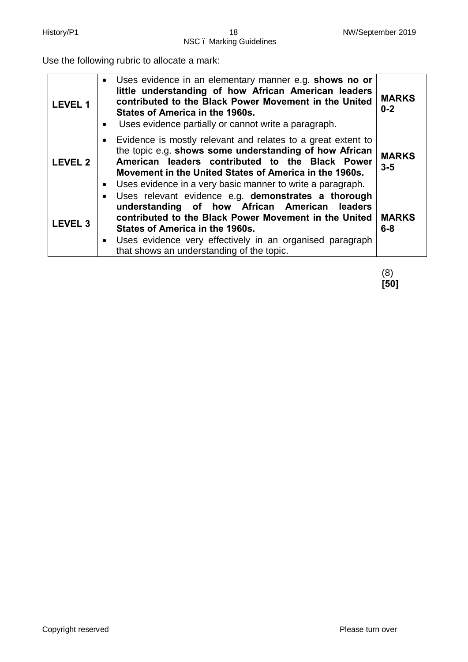Use the following rubric to allocate a mark:

| <b>LEVEL 1</b> | • Uses evidence in an elementary manner e.g. shows no or<br>little understanding of how African American leaders<br>contributed to the Black Power Movement in the United<br>States of America in the 1960s.<br>Uses evidence partially or cannot write a paragraph.<br>$\bullet$                                | <b>MARKS</b><br>$0 - 2$ |
|----------------|------------------------------------------------------------------------------------------------------------------------------------------------------------------------------------------------------------------------------------------------------------------------------------------------------------------|-------------------------|
| <b>LEVEL 2</b> | • Evidence is mostly relevant and relates to a great extent to<br>the topic e.g. shows some understanding of how African<br>American leaders contributed to the Black Power<br>Movement in the United States of America in the 1960s.<br>Uses evidence in a very basic manner to write a paragraph.<br>$\bullet$ | <b>MARKS</b><br>$3 - 5$ |
| <b>LEVEL 3</b> | · Uses relevant evidence e.g. demonstrates a thorough<br>understanding of how African American leaders<br>contributed to the Black Power Movement in the United<br>States of America in the 1960s.<br>• Uses evidence very effectively in an organised paragraph<br>that shows an understanding of the topic.    | <b>MARKS</b><br>$6 - 8$ |

(8) **[50]**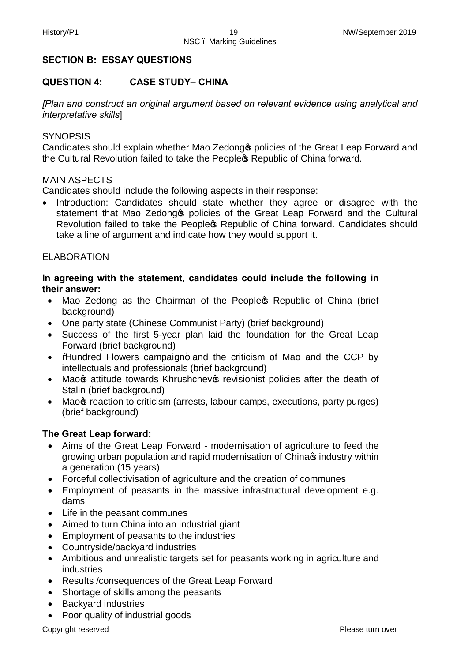#### **SECTION B: ESSAY QUESTIONS**

#### **QUESTION 4: CASE STUDY– CHINA**

*[Plan and construct an original argument based on relevant evidence using analytical and interpretative skills*]

#### **SYNOPSIS**

Candidates should explain whether Mao Zedong to policies of the Great Leap Forward and the Cultural Revolution failed to take the People & Republic of China forward.

#### MAIN ASPECTS

Candidates should include the following aspects in their response:

Introduction: Candidates should state whether they agree or disagree with the statement that Mao Zedong<sup>®</sup> policies of the Great Leap Forward and the Cultural Revolution failed to take the People<sup>®</sup> Republic of China forward. Candidates should take a line of argument and indicate how they would support it.

#### ELABORATION

#### **In agreeing with the statement, candidates could include the following in their answer:**

- Mao Zedong as the Chairman of the People & Republic of China (brief background)
- One party state (Chinese Communist Party) (brief background)
- · Success of the first 5-year plan laid the foundation for the Great Leap Forward (brief background)
- Mundred Flowers campaign+ and the criticism of Mao and the CCP by intellectuals and professionals (brief background)
- Mao<sub>s</sub> attitude towards Khrushchev<sub>s</sub> revisionist policies after the death of Stalin (brief background)
- Mao<sub></sub> reaction to criticism (arrests, labour camps, executions, party purges) (brief background)

#### **The Great Leap forward:**

- · Aims of the Great Leap Forward modernisation of agriculture to feed the growing urban population and rapid modernisation of China industry within a generation (15 years)
- · Forceful collectivisation of agriculture and the creation of communes
- · Employment of peasants in the massive infrastructural development e.g. dams
- · Life in the peasant communes
- · Aimed to turn China into an industrial giant
- · Employment of peasants to the industries
- · Countryside/backyard industries
- · Ambitious and unrealistic targets set for peasants working in agriculture and industries
- · Results /consequences of the Great Leap Forward
- · Shortage of skills among the peasants
- · Backyard industries
- · Poor quality of industrial goods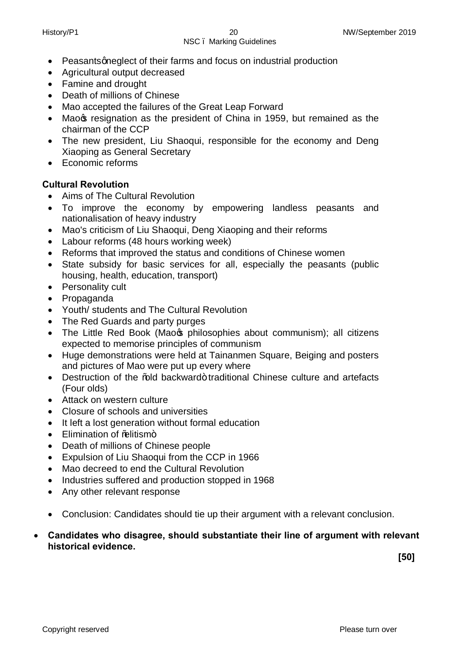- Peasants gneglect of their farms and focus on industrial production
- · Agricultural output decreased
- · Famine and drought
- · Death of millions of Chinese
- · Mao accepted the failures of the Great Leap Forward
- Mao<sub>s</sub> resignation as the president of China in 1959, but remained as the chairman of the CCP
- The new president, Liu Shaoqui, responsible for the economy and Deng Xiaoping as General Secretary
- · Economic reforms

#### **Cultural Revolution**

- Aims of The Cultural Revolution
- · To improve the economy by empowering landless peasants and nationalisation of heavy industry
- · Mao's criticism of Liu Shaoqui, Deng Xiaoping and their reforms
- · Labour reforms (48 hours working week)
- · Reforms that improved the status and conditions of Chinese women
- State subsidy for basic services for all, especially the peasants (public housing, health, education, transport)
- Personality cult
- · Propaganda
- · Youth/ students and The Cultural Revolution
- The Red Guards and party purges
- The Little Red Book (Mao<sub>s</sub> philosophies about communism); all citizens expected to memorise principles of communism
- · Huge demonstrations were held at Tainanmen Square, Beiging and posters and pictures of Mao were put up every where
- Destruction of the %ald backward+traditional Chinese culture and artefacts (Four olds)
- · Attack on western culture
- · Closure of schools and universities
- · It left a lost generation without formal education
- Elimination of % Hitism+
- · Death of millions of Chinese people
- · Expulsion of Liu Shaoqui from the CCP in 1966
- · Mao decreed to end the Cultural Revolution
- · Industries suffered and production stopped in 1968
- Any other relevant response
- · Conclusion: Candidates should tie up their argument with a relevant conclusion.
- · **Candidates who disagree, should substantiate their line of argument with relevant historical evidence.**

 **[50]**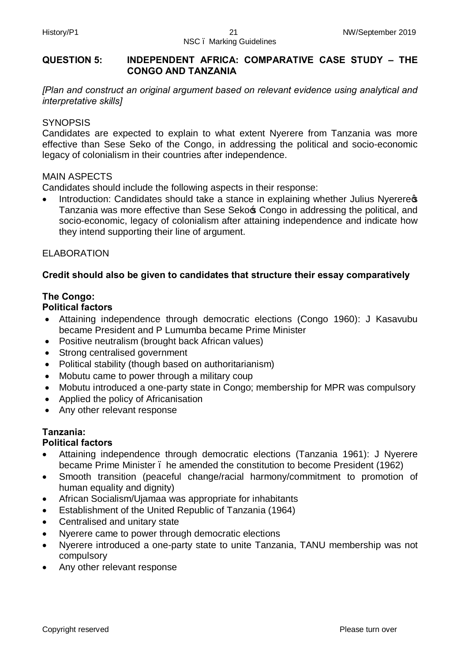#### **QUESTION 5: INDEPENDENT AFRICA: COMPARATIVE CASE STUDY – THE CONGO AND TANZANIA**

*[Plan and construct an original argument based on relevant evidence using analytical and interpretative skills]* 

#### **SYNOPSIS**

Candidates are expected to explain to what extent Nyerere from Tanzania was more effective than Sese Seko of the Congo, in addressing the political and socio-economic legacy of colonialism in their countries after independence.

#### MAIN ASPECTS

Candidates should include the following aspects in their response:

Introduction: Candidates should take a stance in explaining whether Julius Nyereress Tanzania was more effective than Sese Sekos Congo in addressing the political, and socio-economic, legacy of colonialism after attaining independence and indicate how they intend supporting their line of argument.

#### ELABORATION

#### **Credit should also be given to candidates that structure their essay comparatively**

#### **The Congo:**

#### **Political factors**

- · Attaining independence through democratic elections (Congo 1960): J Kasavubu became President and P Lumumba became Prime Minister
- · Positive neutralism (brought back African values)
- · Strong centralised government
- · Political stability (though based on authoritarianism)
- · Mobutu came to power through a military coup
- · Mobutu introduced a one-party state in Congo; membership for MPR was compulsory
- · Applied the policy of Africanisation
- · Any other relevant response

#### **Tanzania:**

#### **Political factors**

- · Attaining independence through democratic elections (Tanzania 1961): J Nyerere became Prime Minister – he amended the constitution to become President (1962)
- · Smooth transition (peaceful change/racial harmony/commitment to promotion of human equality and dignity)
- African Socialism/Ujamaa was appropriate for inhabitants
- Establishment of the United Republic of Tanzania (1964)
- · Centralised and unitary state
- Nyerere came to power through democratic elections
- · Nyerere introduced a one-party state to unite Tanzania, TANU membership was not compulsory
- Any other relevant response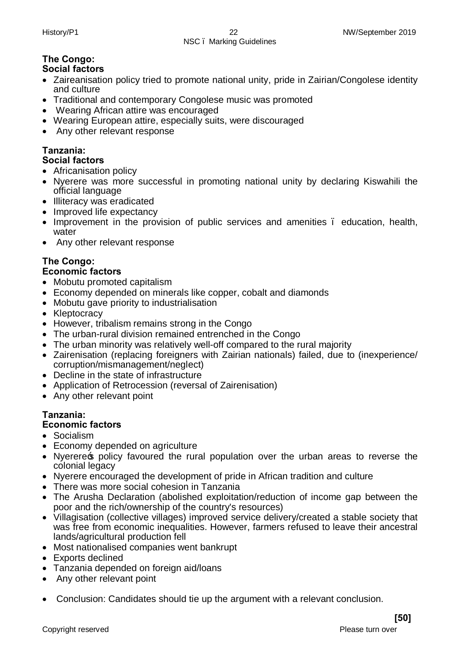#### History/P1 22 NW/September 2019 NSC – Marking Guidelines

#### **The Congo: Social factors**

- · Zaireanisation policy tried to promote national unity, pride in Zairian/Congolese identity and culture
- · Traditional and contemporary Congolese music was promoted
- · Wearing African attire was encouraged
- · Wearing European attire, especially suits, were discouraged
- Any other relevant response

#### **Tanzania: Social factors**

- Africanisation policy
- · Nyerere was more successful in promoting national unity by declaring Kiswahili the official language
- · Illiteracy was eradicated
- Improved life expectancy
- · Improvement in the provision of public services and amenities education, health, water
- · Any other relevant response

# **The Congo:**

#### **Economic factors**

- · Mobutu promoted capitalism
- · Economy depended on minerals like copper, cobalt and diamonds
- · Mobutu gave priority to industrialisation
- Kleptocracy
- · However, tribalism remains strong in the Congo
- · The urban-rural division remained entrenched in the Congo
- · The urban minority was relatively well-off compared to the rural majority
- · Zairenisation (replacing foreigners with Zairian nationals) failed, due to (inexperience/ corruption/mismanagement/neglect)
- · Decline in the state of infrastructure
- · Application of Retrocession (reversal of Zairenisation)
- Any other relevant point

# **Tanzania:**

### **Economic factors**

- · Socialism
- · Economy depended on agriculture
- Nyerere policy favoured the rural population over the urban areas to reverse the colonial legacy
- · Nyerere encouraged the development of pride in African tradition and culture
- · There was more social cohesion in Tanzania
- · The Arusha Declaration (abolished exploitation/reduction of income gap between the poor and the rich/ownership of the country's resources)
- · Villagisation (collective villages) improved service delivery/created a stable society that was free from economic inequalities. However, farmers refused to leave their ancestral lands/agricultural production fell
- · Most nationalised companies went bankrupt
- Exports declined
- · Tanzania depended on foreign aid/loans
- · Any other relevant point
- · Conclusion: Candidates should tie up the argument with a relevant conclusion.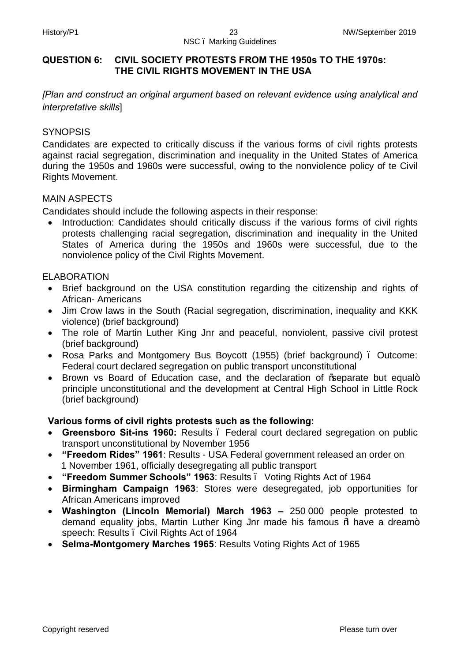#### **QUESTION 6: CIVIL SOCIETY PROTESTS FROM THE 1950s TO THE 1970s: THE CIVIL RIGHTS MOVEMENT IN THE USA**

*[Plan and construct an original argument based on relevant evidence using analytical and interpretative skills*]

#### **SYNOPSIS**

Candidates are expected to critically discuss if the various forms of civil rights protests against racial segregation, discrimination and inequality in the United States of America during the 1950s and 1960s were successful, owing to the nonviolence policy of te Civil Rights Movement.

#### MAIN ASPECTS

Candidates should include the following aspects in their response:

• Introduction: Candidates should critically discuss if the various forms of civil rights protests challenging racial segregation, discrimination and inequality in the United States of America during the 1950s and 1960s were successful, due to the nonviolence policy of the Civil Rights Movement.

#### ELABORATION

- · Brief background on the USA constitution regarding the citizenship and rights of African- Americans
- · Jim Crow laws in the South (Racial segregation, discrimination, inequality and KKK violence) (brief background)
- The role of Martin Luther King Jnr and peaceful, nonviolent, passive civil protest (brief background)
- Rosa Parks and Montgomery Bus Boycott (1955) (brief background). Outcome: Federal court declared segregation on public transport unconstitutional
- Brown vs Board of Education case, and the declaration of % aeparate but equal+ principle unconstitutional and the development at Central High School in Little Rock (brief background)

#### **Various forms of civil rights protests such as the following:**

- · **Greensboro Sit-ins 1960:** Results Federal court declared segregation on public transport unconstitutional by November 1956
- · **"Freedom Rides" 1961**: Results USA Federal government released an order on 1 November 1961, officially desegregating all public transport
- · **"Freedom Summer Schools" 1963**: Results Voting Rights Act of 1964
- · **Birmingham Campaign 1963**: Stores were desegregated, job opportunities for African Americans improved
- · **Washington (Lincoln Memorial) March 1963 –** 250 000 people protested to demand equality jobs, Martin Luther King Jnr made his famous % have a dream+ speech: Results – Civil Rights Act of 1964
- · **Selma-Montgomery Marches 1965**: Results Voting Rights Act of 1965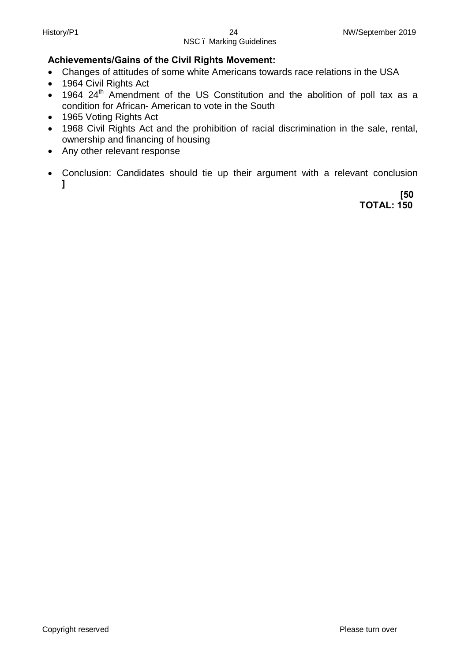#### **Achievements/Gains of the Civil Rights Movement:**

- · Changes of attitudes of some white Americans towards race relations in the USA
- · 1964 Civil Rights Act
- 1964  $24<sup>th</sup>$  Amendment of the US Constitution and the abolition of poll tax as a condition for African- American to vote in the South
- 1965 Voting Rights Act
- · 1968 Civil Rights Act and the prohibition of racial discrimination in the sale, rental, ownership and financing of housing
- · Any other relevant response
- · Conclusion: Candidates should tie up their argument with a relevant conclusion **]**

 **[50 TOTAL: 150**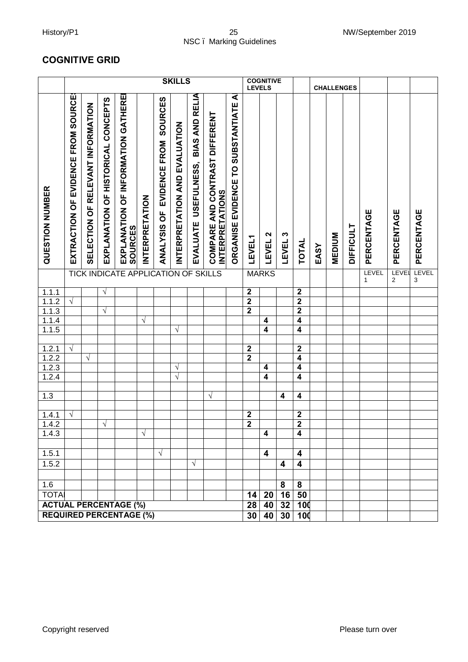#### History/P1 25 NW/September 2019 NSC – Marking Guidelines

## **COGNITIVE GRID**

|                                             | <b>COGNITIVE GRID</b>                                          |                                   |                                    |                                                      |                       |                                         |                               |                                        |                                                                 |                                                     |                         |                                    |                    |                              |      |                   |                  |                       |                  |            |
|---------------------------------------------|----------------------------------------------------------------|-----------------------------------|------------------------------------|------------------------------------------------------|-----------------------|-----------------------------------------|-------------------------------|----------------------------------------|-----------------------------------------------------------------|-----------------------------------------------------|-------------------------|------------------------------------|--------------------|------------------------------|------|-------------------|------------------|-----------------------|------------------|------------|
|                                             |                                                                |                                   |                                    |                                                      |                       |                                         | <b>SKILLS</b>                 |                                        |                                                                 |                                                     | <b>LEVELS</b>           | <b>COGNITIVE</b>                   |                    |                              |      | <b>CHALLENGES</b> |                  |                       |                  |            |
| QUESTION NUMBER                             | EXTRACTION OF EVIDENCE FROM SOURCE:                            | SELECTION OF RELEVANT INFORMATION | EXPLANATION OF HISTORICAL CONCEPTS | EXPLANATION OF INFORMATION GATHERE<br><b>SOURCES</b> | <b>INTERPRETATION</b> | SOURCES<br>EVIDENCE FROM<br>ANALYSIS OF | INTERPRETATION AND EVALUATION | BIAS AND RELIA<br>EVALUATE USEFULNESS, | <b>COMPARE AND CONTRAST DIFFERENT</b><br><b>INTERPRETATIONS</b> | ৰ<br><b>SUBSTANTIATE</b><br>EVIDENCE TO<br>ORGANISE | <b>LEVEL1</b>           | $\boldsymbol{\mathsf{N}}$<br>LEVEL | LEVEL <sub>3</sub> | TOTAL                        | EASY | <b>MEDIUM</b>     | <b>DIFFICULT</b> | PERCENTAGE            | PERCENTAGE       | PERCENTAGE |
|                                             |                                                                |                                   |                                    | <b>TICK INDICATE APPLICATION</b>                     |                       |                                         | OF                            |                                        | <b>SKILLS</b>                                                   |                                                     |                         | <b>MARKS</b>                       |                    |                              |      |                   |                  | LEVEL<br>$\mathbf{1}$ | <b>LEVE</b><br>2 | LEVEL<br>3 |
| 1.1.1                                       |                                                                |                                   | $\sqrt{ }$                         |                                                      |                       |                                         |                               |                                        |                                                                 |                                                     | $\mathbf 2$             |                                    |                    | $\boldsymbol{2}$             |      |                   |                  |                       |                  |            |
| 1.1.2                                       | $\sqrt{ }$                                                     |                                   |                                    |                                                      |                       |                                         |                               |                                        |                                                                 |                                                     | $\overline{\mathbf{2}}$ |                                    |                    | $\overline{\mathbf{2}}$      |      |                   |                  |                       |                  |            |
| 1.1.3                                       |                                                                |                                   | $\sqrt{}$                          |                                                      |                       |                                         |                               |                                        |                                                                 |                                                     | $\overline{2}$          |                                    |                    | $\overline{\mathbf{2}}$      |      |                   |                  |                       |                  |            |
| $1.1.\overline{4}$                          |                                                                |                                   |                                    |                                                      | $\sqrt{ }$            |                                         |                               |                                        |                                                                 |                                                     |                         | 4                                  |                    | 4                            |      |                   |                  |                       |                  |            |
| 1.1.5                                       |                                                                |                                   |                                    |                                                      |                       |                                         | $\sqrt{ }$                    |                                        |                                                                 |                                                     |                         | $\overline{\mathbf{4}}$            |                    | $\overline{\mathbf{4}}$      |      |                   |                  |                       |                  |            |
|                                             |                                                                |                                   |                                    |                                                      |                       |                                         |                               |                                        |                                                                 |                                                     |                         |                                    |                    |                              |      |                   |                  |                       |                  |            |
|                                             | $\sqrt{}$                                                      |                                   |                                    |                                                      |                       |                                         |                               |                                        |                                                                 |                                                     | $\boldsymbol{2}$        |                                    |                    | $\mathbf 2$                  |      |                   |                  |                       |                  |            |
| $\frac{1.2.1}{1.2.2}$ $\frac{1.2.3}{1.2.4}$ |                                                                | $\sqrt{ }$                        |                                    |                                                      |                       |                                         |                               |                                        |                                                                 |                                                     | $\overline{2}$          | 4                                  |                    | $\overline{\mathbf{4}}$<br>4 |      |                   |                  |                       |                  |            |
|                                             |                                                                |                                   |                                    |                                                      |                       |                                         | V<br>$\sqrt{}$                |                                        |                                                                 |                                                     |                         | 4                                  |                    | 4                            |      |                   |                  |                       |                  |            |
|                                             |                                                                |                                   |                                    |                                                      |                       |                                         |                               |                                        |                                                                 |                                                     |                         |                                    |                    |                              |      |                   |                  |                       |                  |            |
| 1.3                                         |                                                                |                                   |                                    |                                                      |                       |                                         |                               |                                        | V                                                               |                                                     |                         |                                    | 4                  | 4                            |      |                   |                  |                       |                  |            |
|                                             |                                                                |                                   |                                    |                                                      |                       |                                         |                               |                                        |                                                                 |                                                     |                         |                                    |                    |                              |      |                   |                  |                       |                  |            |
| 1.4.1                                       | $\sqrt{ }$                                                     |                                   |                                    |                                                      |                       |                                         |                               |                                        |                                                                 |                                                     | $\boldsymbol{2}$        |                                    |                    | $\mathbf 2$                  |      |                   |                  |                       |                  |            |
| 1.4.2                                       |                                                                |                                   | $\sqrt{ }$                         |                                                      |                       |                                         |                               |                                        |                                                                 |                                                     | $\overline{\mathbf{2}}$ |                                    |                    | $\overline{2}$               |      |                   |                  |                       |                  |            |
| 1.4.3                                       |                                                                |                                   |                                    |                                                      | $\sqrt{ }$            |                                         |                               |                                        |                                                                 |                                                     |                         | 4                                  |                    | $\overline{\mathbf{4}}$      |      |                   |                  |                       |                  |            |
|                                             |                                                                |                                   |                                    |                                                      |                       |                                         |                               |                                        |                                                                 |                                                     |                         |                                    |                    |                              |      |                   |                  |                       |                  |            |
| 1.5.1                                       |                                                                |                                   |                                    |                                                      |                       | $\sqrt{}$                               |                               |                                        |                                                                 |                                                     |                         | 4                                  |                    | 4                            |      |                   |                  |                       |                  |            |
| 1.5.2                                       |                                                                |                                   |                                    |                                                      |                       |                                         |                               | $\sqrt{ }$                             |                                                                 |                                                     |                         |                                    | 4                  | $\overline{\mathbf{4}}$      |      |                   |                  |                       |                  |            |
|                                             |                                                                |                                   |                                    |                                                      |                       |                                         |                               |                                        |                                                                 |                                                     |                         |                                    |                    |                              |      |                   |                  |                       |                  |            |
| 1.6                                         |                                                                |                                   |                                    |                                                      |                       |                                         |                               |                                        |                                                                 |                                                     |                         |                                    | 8                  | 8                            |      |                   |                  |                       |                  |            |
| <b>TOTAI</b>                                |                                                                |                                   |                                    |                                                      |                       |                                         |                               |                                        |                                                                 |                                                     | 14                      | 20                                 | 16                 | 50                           |      |                   |                  |                       |                  |            |
|                                             |                                                                |                                   |                                    |                                                      |                       |                                         |                               |                                        |                                                                 |                                                     |                         |                                    | $28$ 40 $32$       | <b>100</b>                   |      |                   |                  |                       |                  |            |
|                                             | <b>ACTUAL PERCENTAGE (%)</b><br><b>REQUIRED PERCENTAGE (%)</b> |                                   |                                    |                                                      |                       |                                         |                               |                                        |                                                                 |                                                     |                         | 30   40                            | 30                 | 100                          |      |                   |                  |                       |                  |            |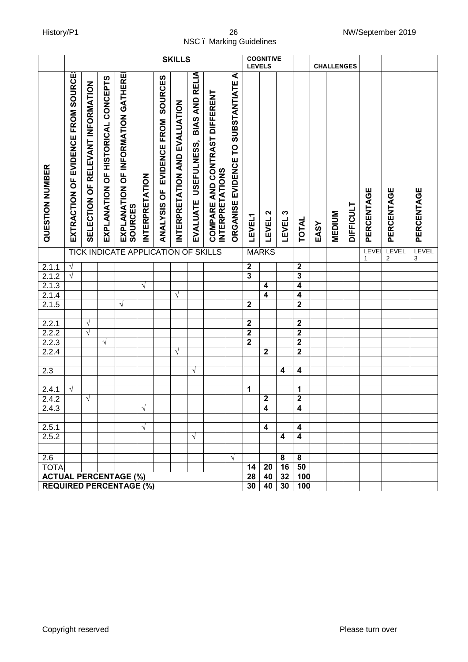#### History/P1 26 NW/September 2019 NSC – Marking Guidelines

|                                             | NSC. Marking Guidelines             |                                   |                                    |                                                      |                       |                                         |                               |                                        |                                                                 |                                           |                       |                                           |            |                         |      |                   |                  |            | <b>TWW/OUPWITING ZOTO</b>        |            |
|---------------------------------------------|-------------------------------------|-----------------------------------|------------------------------------|------------------------------------------------------|-----------------------|-----------------------------------------|-------------------------------|----------------------------------------|-----------------------------------------------------------------|-------------------------------------------|-----------------------|-------------------------------------------|------------|-------------------------|------|-------------------|------------------|------------|----------------------------------|------------|
|                                             |                                     |                                   |                                    |                                                      |                       |                                         | <b>SKILLS</b>                 |                                        |                                                                 |                                           | <b>LEVELS</b>         | <b>COGNITIVE</b>                          |            |                         |      | <b>CHALLENGES</b> |                  |            |                                  |            |
| QUESTION NUMBER                             | EXTRACTION OF EVIDENCE FROM SOURCES | SELECTION OF RELEVANT INFORMATION | EXPLANATION OF HISTORICAL CONCEPTS | EXPLANATION OF INFORMATION GATHERE<br><b>SOURCES</b> | <b>INTERPRETATION</b> | SOURCES<br>EVIDENCE FROM<br>ANALYSIS OF | INTERPRETATION AND EVALUATION | BIAS AND RELIA<br>EVALUATE USEFULNESS, | <b>COMPARE AND CONTRAST DIFFERENT</b><br><b>INTERPRETATIONS</b> | ⋖<br>EVIDENCE TO SUBSTANTIATE<br>ORGANISE | <b>LEVEL1</b>         | $\boldsymbol{\mathsf{N}}$<br><b>LEVEL</b> | S<br>LEVEL | TOTAL                   | EASY | <b>MEDIUM</b>     | <b>DIFFICULT</b> | PERCENTAGE | PERCENTAGE                       | PERCENTAGE |
|                                             |                                     |                                   |                                    | <b>TICK INDICATE APPLICATION OF</b>                  |                       |                                         |                               |                                        | <b>SKILLS</b>                                                   |                                           |                       | <b>MARKS</b>                              |            |                         |      |                   |                  | LEVEL<br>1 | LEVEL<br>$\overline{\mathbf{c}}$ | LEVEL<br>3 |
| 2.1.1                                       | $\sqrt{ }$                          |                                   |                                    |                                                      |                       |                                         |                               |                                        |                                                                 |                                           | $\mathbf{2}$          |                                           |            | $\boldsymbol{2}$        |      |                   |                  |            |                                  |            |
| 2.1.2                                       | $\sqrt{}$                           |                                   |                                    |                                                      |                       |                                         |                               |                                        |                                                                 |                                           | 3                     |                                           |            | $\overline{3}$          |      |                   |                  |            |                                  |            |
| 2.1.3                                       |                                     |                                   |                                    |                                                      | $\sqrt{ }$            |                                         |                               |                                        |                                                                 |                                           |                       | 4                                         |            | $\overline{\mathbf{4}}$ |      |                   |                  |            |                                  |            |
| 2.1.4                                       |                                     |                                   |                                    |                                                      |                       |                                         | $\sqrt{}$                     |                                        |                                                                 |                                           |                       | 4                                         |            | $\boldsymbol{4}$        |      |                   |                  |            |                                  |            |
| 2.1.5                                       |                                     |                                   |                                    | $\sqrt{ }$                                           |                       |                                         |                               |                                        |                                                                 |                                           | $\mathbf{2}$          |                                           |            | $\overline{2}$          |      |                   |                  |            |                                  |            |
| 2.2.1                                       |                                     | $\sqrt{}$                         |                                    |                                                      |                       |                                         |                               |                                        |                                                                 |                                           | $\mathbf 2$           |                                           |            | $\boldsymbol{2}$        |      |                   |                  |            |                                  |            |
| 2.2.2                                       |                                     | $\sqrt{}$                         |                                    |                                                      |                       |                                         |                               |                                        |                                                                 |                                           | $\overline{2}$        |                                           |            | $\overline{2}$          |      |                   |                  |            |                                  |            |
| 2.2.3                                       |                                     |                                   | $\sqrt{}$                          |                                                      |                       |                                         |                               |                                        |                                                                 |                                           | $\overline{2}$        |                                           |            | $\overline{2}$          |      |                   |                  |            |                                  |            |
| 2.2.4                                       |                                     |                                   |                                    |                                                      |                       |                                         | $\sqrt{}$                     |                                        |                                                                 |                                           |                       | $\overline{\mathbf{2}}$                   |            | $\overline{2}$          |      |                   |                  |            |                                  |            |
|                                             |                                     |                                   |                                    |                                                      |                       |                                         |                               |                                        |                                                                 |                                           |                       |                                           |            |                         |      |                   |                  |            |                                  |            |
| 2.3                                         |                                     |                                   |                                    |                                                      |                       |                                         |                               | $\sqrt{}$                              |                                                                 |                                           |                       |                                           | 4          | $\boldsymbol{4}$        |      |                   |                  |            |                                  |            |
|                                             |                                     |                                   |                                    |                                                      |                       |                                         |                               |                                        |                                                                 |                                           |                       |                                           |            |                         |      |                   |                  |            |                                  |            |
| 2.4.1                                       | $\sqrt{ }$                          |                                   |                                    |                                                      |                       |                                         |                               |                                        |                                                                 |                                           | 1                     |                                           |            | 1                       |      |                   |                  |            |                                  |            |
| 2.4.2                                       |                                     | $\sqrt{ }$                        |                                    |                                                      |                       |                                         |                               |                                        |                                                                 |                                           |                       | $\mathbf{2}$                              |            | $\overline{2}$          |      |                   |                  |            |                                  |            |
| 2.4.3                                       |                                     |                                   |                                    |                                                      | $\sqrt{ }$            |                                         |                               |                                        |                                                                 |                                           |                       | 4                                         |            | 4                       |      |                   |                  |            |                                  |            |
|                                             |                                     |                                   |                                    |                                                      |                       |                                         |                               |                                        |                                                                 |                                           |                       |                                           |            |                         |      |                   |                  |            |                                  |            |
| 2.5.1<br>2.5.2                              |                                     |                                   |                                    |                                                      | $\sqrt{ }$            |                                         |                               |                                        |                                                                 |                                           |                       | 4                                         | 4          | 4<br>4                  |      |                   |                  |            |                                  |            |
|                                             |                                     |                                   |                                    |                                                      |                       |                                         |                               | $\sqrt{ }$                             |                                                                 |                                           |                       |                                           |            |                         |      |                   |                  |            |                                  |            |
|                                             |                                     |                                   |                                    |                                                      |                       |                                         |                               |                                        |                                                                 |                                           |                       |                                           |            |                         |      |                   |                  |            |                                  |            |
| 2.6                                         |                                     |                                   |                                    |                                                      |                       |                                         |                               |                                        |                                                                 | $\sqrt{}$                                 |                       |                                           | 8<br>16    | 8<br>50                 |      |                   |                  |            |                                  |            |
| <b>TOTA</b><br><b>ACTUAL PERCENTAGE (%)</b> |                                     |                                   |                                    |                                                      |                       |                                         |                               |                                        |                                                                 |                                           | 14<br>$\overline{28}$ | 20<br>40                                  | 32         | 100                     |      |                   |                  |            |                                  |            |
|                                             |                                     |                                   |                                    |                                                      |                       |                                         |                               |                                        |                                                                 |                                           | 30                    | 40                                        | 30         | 100                     |      |                   |                  |            |                                  |            |
|                                             | <b>REQUIRED PERCENTAGE (%)</b>      |                                   |                                    |                                                      |                       |                                         |                               |                                        |                                                                 |                                           |                       |                                           |            |                         |      |                   |                  |            |                                  |            |